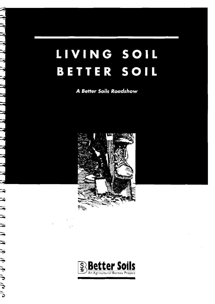# LIVING SOIL BETTER SOIL

**A Better Soils Roadshow** 

コンプレント アルコンプラント



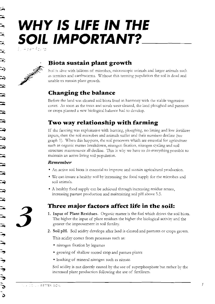$\Delta$ 

# WHY IS LIFE IN THE **SOIL IMPORTANT?**

Albert Pavira



# Biota sustain plant growth

Soil is alive with billions of microbes, microscopic animals and larger animals such as termites and earthworms. Without this teeming population the soil is dead and unable to sustain plant growth.

## **Changing the balance**

Before the land was cleared soil biota lived in harmony with the stable vegetative cover. As soon as the trees and scrub were cleared, the land ploughed and pastures or crops planted a new biological balance had to develop.

# Two way relationship with farming

If the farming was exploitative with burning, ploughing, no liming and low fertilizer inputs, then the soil microbes and animals suffer and their numbers decline (see graph 1). When this happens, the soil processes which are essential for agriculture such as organic matter breakdown, nitrogen fixation, nitrogen cycling and soil structure maintenance all decline. This is why we have to do everything possible to maintain an active living soil population.

### Remember

- An active soil biota is essential to improve and sustain agricultural production.
- We can insure a healthy soil by increasing the food supply for the microbes and soil animals.
- A healthy food supply can be achieved through increasing residue return, increasing pasture production and maintaining soil pH above 5.5.

# Three major factors affect life in the soil:

- 1. Input of Plant Residues. Organic matter is the fuel which drives the soil biota. The higher the input of plant residues the higher the biological activity and the greater the improvement in soil fertility.
- 2. Soil pH. Soil acidity develops after land is cleared and pastures or crops grown.

This acidity comes from processes such as:

- nitrogen fixation by legumes
- · growing of shallow rooted crop and pasture plants
- · leaching of mineral nitrogen such as nitrate.

Soil acidity is not directly caused by the use of superphosphate but rather by the increased plant production following the use of fertilizers.

1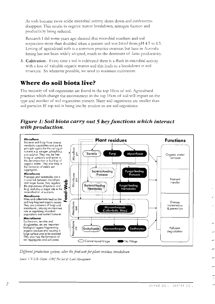As soils become more acidic microbial activity slows down and earthworms disappear. This results in organic matter breakdown, nitrogen fixation and productivity being reduced.

Research I did some years ago showed that microbial numbers and soil respiration more than doubled when a pasture soil was limed from pH 4.5 to 6.5. Liming of agricultural soils is a common practice overseas but here in Australia liming has not been widely adopted, much to the detriment of farm productivity.

3. Cultivation. Every time a soil is cultivated there is a flush in microbial activity with a loss of valuable organic matter and this leads to a breakdown in soil structure. So wherever possible, we need to minimize cultivation.

## Where do soil biota live?

The majority of soil organisims are found in the top 10cm of soil. Agricultural practices which change the environment in the top 10cm of soil will impact on the type and number of soil organisims present. Many soil organisims are smaller than soil particles. If top soil is being lost by erosion so are soil organisims.

### Figure 1: Soil biota carry out 5 key functions which interact with production.



Different production systems alter the food-web for plant residues breakdown.

Source: V.V.S.R. Gupta - CRC For Soil & Land Management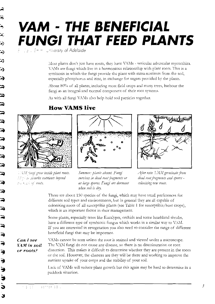Y

# **VAM - THE BENEFICIAL FUNGI THAT FEED PLANTS**

15 . Smith University of Adelaide

Most plants don't just have roots, they have VAMs - vesicular arbuscular mycorrhiza. VAMs are fungi which live in a harmonious relationship with plant roots. This is a symbiosis in which the fungi provide the plant with extra nutrients from the soil, especially phosphorus and zinc, in exchange for sugars provided by the plants.

About 80% of all plants, including most field crops and many trees, harbour the fungi as an integral and normal component of their root systems.

As with all fungi VAMs also help hold soil particles together.

### **How VAMS live**



THM imgi grow inside plant roots.  $\ldots$   $\ldots$  absorbs nutrients beyond  $r = r_1 \ldots r_n$  of roots.





Summer: plants absent. Fungi survives in dead root fragments or as large spores. Fungi are dormant

when soil is dry.

After rain VAM germinate from dead root fragments and spores colonising new roots.

There are about 150 species of the fungi, which may have small preferences for different soil types and environments, but in general they are all capable of colonising roots of all susceptible plants (see Table 1 for susceptible/host crops), which is an important factor in their management.

Some plants, especially trees like Eucalypts, orchids and some heathland shrubs, have a different type of symbiotic fungus which works in a similar way to VAM. If you are interested in revegetation you also need to consider the range of different beneficial fungi that may be important.

Can I see **LAM** in soil or roots?

VAMs cannot be seen unless the root is stained and viewed under a microscope. The VAM fungi do not cause any disease, so there is no discolouration or root distortion. This makes it difficult to determine whether they are present in the roots or the soil. However, the chances are they will be there and working to improve the nutrient uptake of your crops and the stability of your soil.

Lack of VAMs will reduce plant growth but this again may be hard to determine in a paddock situation.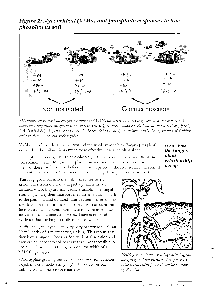### Figure 2: Mycorrhizal (VAMs) and phosphate responses in low phosphorus soil



This picture shows how both phosphate fertiliser and V/Ms can increase the growth of subclover. In low P soils the plants grow very badly, but growth can be increased either by fertiliser application which directly increases P supply or by VAMs which help the plant extract P even in the very deficient soil. If the balance is right then application of fertiliser and help from UAMs can work together.

VAMs extend the plant root system and the whole mycorrhiza (fungus plus plant) can exploit the soil nutrients much more effectively than the plant alone.

Some plant nutrients, such as phosphorus (P) and zinc (Zn), move very slowly in the  $\; {\it plant}$ soil solution. Therefore, when a plant removes these nutrients from the soil near the root there can be a delay before they are replaced at the root surface. A zone of nutrient depletion may occur near the root slowing down plant nutrient uptake.

How does the fungus relationship  $work?$ 

The fungi grow out into the soil, sometimes several centimetres from the root and pick up nutrients at a distance where they are still readily available. The fungal strands (hyphae) then transport the nutrients quickly back to the plant  $-$  a kind of rapid transit system - overcoming the slow movement in the soil. Tolerance to drought can be increased as the rapid transit system overcomes slow movement of nutrients in dry soil. There is no good evidence that the fungi actually transport water.

Additionally, the hyphae are very, very narrow (only about 10 millionths of a metre across, or less). This means that they have a huge surface area for nutrient absorption and they can squeeze into soil pores that are not accessible to roots which will be 10 times, or more, the width of a VAM fungal hypha.

VAM hyphae growing out of the roots bind soil particles together, like a 'sticky string bag'. This improves soil stability and can help to prevent erosion.



VAM grow inside the roots. They extend beyond the zone of nutrient depletion. They provide a rapid transit system for poorly soluble nutrients eg.  $P \circ P Zn$ .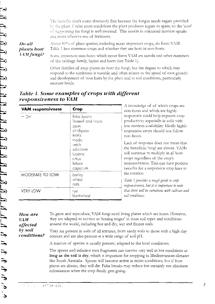The benefits don't come absolutely free because the fungus needs sugars provided by the plant. Under most conditions the plant produces sugars to spare, so the 'cost' of supporting the fungi is well invested. This results in enhanced nutrient uptake and more effective use of fertilisers.

Do all plants host VAM fungi? About 80% of plant species, including many important crops, do form VAM. Table 1 lists common crops and whether they are host or non-hosts.

Some important non-hosts which never form VAM are canola and other members of the cabbage family, lupins and beets (see Table 1).

Other families of crop plants do host the fungi, but the degree to which they respond to the symbiosis is variable and often relates to the speed of root growth and development of root hairs by the plant and to soil conditions, particularly nutrient levels.

| <b>VAM</b> responsivness | Crop                                                                                                                                        | A knowledge of of which crops are<br>non-hosts and which are highly                                                                                                                                                                                                                                                                                                                                                          |
|--------------------------|---------------------------------------------------------------------------------------------------------------------------------------------|------------------------------------------------------------------------------------------------------------------------------------------------------------------------------------------------------------------------------------------------------------------------------------------------------------------------------------------------------------------------------------------------------------------------------|
| - GH                     | faba beans<br>linseed and linola<br>peas<br>chickpeas<br>lentils<br>medic<br>vetch<br>subclover<br>lucerne<br>citrus<br>lettuce<br>capsicum | responsive could help improve crop<br>productivity especially in soils with<br>low nutrient availability. Ideally highly<br>responsive crops should not follow<br>non-hosts.<br>Lack of response does not mean that<br>the beneficial fungi are absent. VAMs<br>will continue to multiply in all host<br>crops regardless of the crop's<br>responsiveness. This can have positive<br>benefits for a responsive crop later in |
| MODERATE TO LOW          | barley<br>wheat<br>oats                                                                                                                     | the rotation<br>Table 1 provides a rough guide to crop<br>responsiveness, but it is important to note                                                                                                                                                                                                                                                                                                                        |
| <b>VERY LOW</b>          | rye<br>buckwheat                                                                                                                            | that there will be variations with cultivar and<br>soil conditions.                                                                                                                                                                                                                                                                                                                                                          |

Table 1. Some examples of crops with different responsiveness to VAM

| How are                       | To grow and reproduce, VAM fungi need living plants which are hosts. However,                                                                     |
|-------------------------------|---------------------------------------------------------------------------------------------------------------------------------------------------|
| VAM                           | they are adapted to survive as 'resting stages' in most soil types and conditions                                                                 |
| affected                      | around the world, including hot and dry, wet and frozen soils.                                                                                    |
| by <b>soil</b><br>conditions? | They are present in soils of all textures, from sandy soils to those with a high clav<br>content and are also present at a wide range of soil pH. |
|                               | A mixture of species is usually present, adapted to the local conditions.                                                                         |
|                               |                                                                                                                                                   |

The spores and infective root fragments can survive very well in hot conditions as long as the soil is dry, which is important for cropping in Mediterranean climates like South Australia. Spores will become active in moist conditions, but if host plants are absent, they will die. False breaks may reduce but certainly not eliminate colonisation when the crop finally gets going.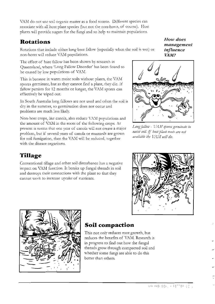VAM do not use soil organic matter as a food source. Different species can associate with all host plant species (but not the non-hosts, of course). Host plants will provide sugars for the fungi and so help to maintain populations.

## **Rotations**

Rotations that include either long bare fallow (especially when the soil is wet) or non-hosts will reduce VAM populations.

The effect of bare fallow has been shown by research in Queensland, where 'Long Fallow Disorder' has been found to be caused by low populations of VAM.

This is because in warm moist soils without plants, the VAM spores germinate, but as they cannot find a plant, they die. If fallow persists for 12 months or longer, the VAM spores can effectively be wiped out.

In South Australia long fallows are not used and often the soil is dry in the summer, so germination does not occur and problems are much less likely.

Non-host crops, like canola, also reduce VAM populations and the amount of VAM in the roots of the following crops. At present is seems that one year of canola will not create a major problem, but if several vears of canola or mustards are grown for soil fumigation, then the VAM will be reduced, together with the disease organisms.

# Tillage

Conventional tillage and other soil disturbance has a negative impact on VAM function. It breaks up fungal threads in soil and destroys their connections with the plant so that they cannot work to increase uptake of nutrients.

How does management influence  $VAM?$ 



Long fallow - VAM spores germinate in moist soil. If host plant roots are not available the VAM will die.





## Soil compaction

This not only reduces root growth, but reduces the benefits of VAM. Research is in progress to find out how the fungal threads grow through compacted soil and whether some fungi are able to do this better than others.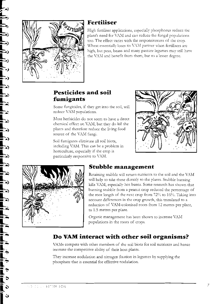

## **Fertiliser**

High fertiliser applications, especially phosphorus reduce the plant's need for VAM and can reduce the fungal populations too. The effect varies with the responsiveness of the crop. Wheat essentially loses its VAM partner when fertilisers are high, but peas, beans and many pasture legumes may still have the VAM and benefit from them, but to a lesser degree.

## Pesticides and soil fumigants

Some fungicides, if they get into the soil, will reduce VAM populations.

Most herbicides do not seem to have a direct chemical effect on VAM, but they do kill the plants and therefore reduce the living food source of the VAM fungi.

Soil fumigants eliminate all soil biota, including VAM. This can be a problem in horticulture, especially if the crop is particularly responsive to VAM.





## **Stubble management**

Retaining stubble will return nutrients to the soil and the VAM will help to take these directly to the plants. Stubble burning kills VAM, especially hot burns. Some research has shown that burning stubble from a peanut crop reduced the percentage of the root length of the next crop from 72% to 16%. Taking into account differences in the crop growth, this translated to a reduction of VAM-colonised roots from 12 metres per plant, to 1.5 metres per plant.

Organic management has been shown to increase VAM populations in the roots of crops.

# Do VAM interact with other soil organisms?

VAMs compete with other members of the soil biota for soil nutrients and hence increase the competitive ability of their host plants.

They increase nodulation and nitrogen fixation in legumes by supplying the phosphate that is essential for effective nodulation.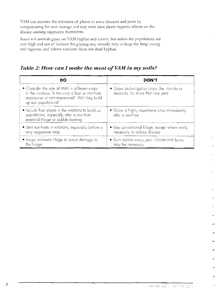VAM can increase the tolerance of plants to some diseases and pests by compensating for root damage and may even have direct negative effects on the disease-causing organisms themselves.

Some soil animals graze on VAM hyphae and spores, but unless the populations are very high and out of balance the grazing may actually help to keep the fungi young and vigorous and release nutrients from the dead hyphae.

Table 2: How can I make the most of VAM in my soils?

| DO                                                                                                                                                                          | <b>DON'T</b>                                                                   |
|-----------------------------------------------------------------------------------------------------------------------------------------------------------------------------|--------------------------------------------------------------------------------|
| • Consider the role of VAM in different crops<br>in the rotations. Is the crop a host or non-host,<br>responsive or non-responsive? Will they build<br>up soil populations? | • Grow biofumigation crops like, canola or<br>mustards, for more than one year |
| • Include host plants in the rotations to build up<br>populations, especially after a non-host,<br>essential tillage or stubble burning                                     | • Grow a highly responsive crop immediately<br>after a non-host                |
| • Limit non-hosts in rotations, especially before a<br>very responsive crop                                                                                                 | • Use conventional tillage, except where really<br>necessary to reduce disease |
| • Adopt minimum tillage to avoid damage to<br>the fungus                                                                                                                    | • Burn stubble every year. Occasional burns<br>may be necessary                |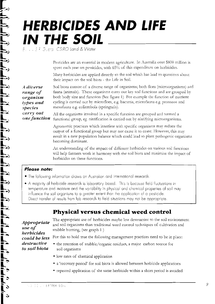# **HERBICIDES AND LIFE** IN THE SOIL

... S.F. Gueral CSIRO Land & Water

Pesticides are an essential in modern agriculture. In Australia over \$800 million is spent each year on pesticides, with 65% of this expenditure on herbicides.

Many herbicides are applied directly to the soil which has lead to questions about their impact on the soil biota - the Life in Soil.

Soil biota consist of a diverse range of organisms; both flora (microorganisms) and A diverse fauna (animals). These organisms carry out key soil functions and are grouped by range of both body size and function (See figure 1) For example the function of nutrient organism cycling is carried out by microflora, e.g. bacteria, microfauna e.g. protozoa and types and mesofauna e.g. collembola (springtails). species

carry out All the organisms involved in a specific function are grouped and termed a one function functional group, eg. nitrification is carried out by nitrifving microorganisms.

> Agronomic practices which interfere with specific organisms may reduce the output of a functional group but may not cause it to cease. However, this may result in a new population balance which could lead to plant pathogenic organisms becoming dominant.

An understanding of the impact of different herbicides on various soil functions will help farmers work in harmony with the soil biota and minimise the impact of herbicides on these functions.

#### **Please note:**

- The following information draws on Australian and international research.
- A majority of herbicide research is laboratory based. This is because field fluctuations in temperature and moisture and the variability in physical and chemical properties of soil may influence the soil organisms to a greater extent than the application of a pesticide. Direct transfer of results from lab research to field situations may not be appropriate.

## **Physical versus chemical weed control**

Appropriate use of herbicides destructive to soil biota

The appropriate use of herbicides maybe less destructive to the soil environment and soil organisms than traditional weed control techniques of cultivation and stubble burning, (see graph 1)

could be less For this to hold true the following management practices need to be in place:

- the retention of stubble/organic residues, a major carbon source for soil organisms
- low rates of chemical application
- a 'recovery period' for soil biota is allowed between herbicide applications
- repeated application of the same herbicide within a short period is avoided.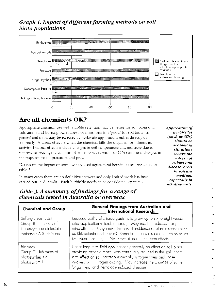## Graph 1: Impact of different farming methods on soil biota populations



# Are all chemicals OK?

Appropriate chemical use with stubble retention may be better for soil biota than cultivation and burning but it does not mean that it is 'good' for soil biota. In general soil biota may be effected by herbicide applications either directly or indirectly. A direct effect is when the chemical kills the organism or inhibits its activity. Indirect effects include changes in soil temperature and moisture due to removal of weeds, the addition of weed residues with low C:N ratios and changes in the populations of predators and prey.

Details of the impact of some widely used agricultural herbicides are contained in table 3.

In many cases there are no definitive answers and only limited work has been carried out in Australia. Each herbicide needs to be considered separately.

Application of herbicides  $(such\ as\ SUs)$ should be avoided in situations where the crop is not robust and disease levels in soil are medium. especially in alkaline soils.

## Table 3: A summary of findings for a range of chemicals tested in Australia or overseas.

| <b>Chemical and Group</b>                                                                               | General Findings from Australian and<br><b>International Research</b>                                                                                                                                                                                                                                                                                     |
|---------------------------------------------------------------------------------------------------------|-----------------------------------------------------------------------------------------------------------------------------------------------------------------------------------------------------------------------------------------------------------------------------------------------------------------------------------------------------------|
| Sulfonylureas (SUs)<br>Group B - Inhibitors of<br>the enzyme acetolactate<br>synthase - ALS inhibitors. | Reduced ability of microorganisms to grow up to six to eight weeks<br>after application (microbial stress). May result in reduced nitrogen<br>mineralisation. May cause increased incidence of plant diseases such<br>as Rhizoctonia and Take-all. Some herbicides also reduce colonisation<br>by mycorrhizal fungi. No information on long term effects. |
| Triazines<br>Group C - Inhibitors of<br>photosynthesis at<br>photosystem II                             | Under long term field applications generally no effect on soil biotal<br>providing organic matter was continually returned to the soil. Short<br>term effect on soil bacteria especially nitrogen fixers and those<br>involved with nitrogen cycling. May increase the chances of some<br>fungal, viral and nematode induced diseases.                    |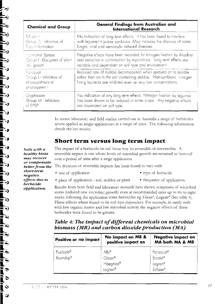Soils with a

healthy biota

may recover

negative

herbicide

application.

or compensate

better from the short-term

effects due to

| <b>Chemical and Group</b>                                                 | General Findings from Australian and<br><b>International Research</b>                                                                                                                                       |
|---------------------------------------------------------------------------|-------------------------------------------------------------------------------------------------------------------------------------------------------------------------------------------------------------|
| Trifluralin                                                               | No indication of long term effects. It has been found to interfere                                                                                                                                          |
| Group D - Inhibitors of                                                   | with legume/rhizobia symbiosis. May increase the chances of some                                                                                                                                            |
| Tudu in formation                                                         | fungal, viral and nematode induced diseases.                                                                                                                                                                |
| mormonal Sprays                                                           | Negative effects have been recorded for nitrogen fixation by rhizobia                                                                                                                                       |
| Group I - Disrupters of plant                                             | and reduction in colonisation by mycorrhiza. Long term effects are                                                                                                                                          |
| ce': growth                                                               | variable and dependant on soil type and environment.                                                                                                                                                        |
| Paraquat<br>Group L - Inhibitors of<br>chotosynthesis at<br>photosystem I | Reduced rate of stubble decomposition when sprayed on to stubble<br>rather than on to the soil containing stubble. Non-symbiotic nitrogen<br>fixing bacteria are inhibited even at very low concentrations. |
| . Glyphosate                                                              | No indication of any long term effects. Nitrogen fixation by legumes                                                                                                                                        |
| Group M - Inhibitors                                                      | has been shown to be reduced in some crops. Any negative effects                                                                                                                                            |
| of EPSP                                                                   | are dependent on soil type.                                                                                                                                                                                 |

In recent laboratory and field studies carried out in Australia a range of herbicides where applied as single applications at a range of rates. The following information details the key results.

## Short term versus long term impact

The impact of a herbicide on soil biota may be reversible or irreversible. A reversible impact is one where levels of microbial growth are returned to 'normal' over a period of time after a singe application.

The duration of reversible impacts has been found to vary with:

· rate of application

- type of herbicide
- · place of application soil, stubble or plant
- frequency of application.

Results from both field and laboratory research have shown symptoms of microbial stress (reduced new microbial growth) even at recommended rates up to six to eight weeks following the application some herbicides eg. Glean<sup>®</sup>, Logran<sup>®</sup> (See table 4). These effects where found to be soil type dependent. For example, in sandy soils with low organic matter and low microbial activity the negative effects of these herbicides were found to be greater.

| Table 4: The impact of different chemicals on microbial |
|---------------------------------------------------------|
| biomass (MB) and carbon dioxide production (MA)         |

| Positive or no impact                         | No impact on MB &<br>positive impact on | <b>Negative impact on</b><br>MA both MA & MB |
|-----------------------------------------------|-----------------------------------------|----------------------------------------------|
| Fusilade <sup>®</sup><br>Roundup <sup>®</sup> | Ally®<br>Glean®                         | Paraquat <sup>®</sup><br>Broda <sup>®</sup>  |
|                                               | Hoegrass®<br>Logran®                    | Logran <sup>®</sup>                          |
|                                               |                                         | Eclipse®                                     |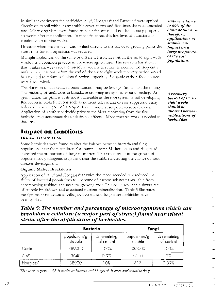In similar experiments the herbicides Ally<sup>®</sup>, Hoegrass<sup>®</sup> and Paraquat<sup>®</sup> were applied directly on to soil without any stubble cover at two and five times the recommended rate. Micro organisms were found to be under stress and not functioning properly six weeks after the application. In most situations this low level of functioning continued up to nine weeks.

However when the chemical was applied directly to the soil or to growing plants the stress time for soil organisms was reduced.

Multiple application of the same or different herbicides within the six to eight week window is a common practice in broadacre agriculture. The research has shown that it takes six weeks for the microbial activity to return to normal. Consequently multiple applications before the end of the six to eight week recovery period would be expected to reduce soil biota function, especially if organic carbon food sources were also limited.

The duration of this reduced biota function may be less significant than the timing. The majority of herbicides in broadacre cropping are applied around seeding. At germination the plant is at its most vulnerable as the root system is still developing. Reduction in biota functions such as nutrient release and disease suppression may reduce the early vigour of a crop or leave it more susceptible to root diseases. Application of another herbicide prior to the biota recovering from the first herbicide may accentuate the undesirable effects. More research work is needed in this area.

## **Impact on functions**

#### Disease Transmission

Some herbicides were found to alter the balance between bacteria and fungi populations near the plant litter. For example, some SU herbicides and Hoegrass<sup>\*</sup> increased the proportion of fungi near litter. This could result in the growth of opportunistic pathogenic organisms near the stubble increasing the chance of root diseases development.

#### Organic Matter Breakdown

Application of Ally<sup>®</sup> and Hoegrass<sup>®</sup> at twice the recommended rate reduced the ability of bacterial populations to use some of carbon substrates available from decomposing residues and near the growing root. This could result in a slower rate of stubble breakdown and associated nutrient mineralisation. Table 5 illustrates the significant reduction in cellulytic bacteria and fungi after herbicides have been applied.

### Table 5: The number and percentage of microorganisms which can breakdown cellulose (a major part of straw) found near wheat straw after the application of herbicides.

|                      | <b>Bacteria</b>         |                           | Fungi                        |                           |
|----------------------|-------------------------|---------------------------|------------------------------|---------------------------|
|                      | population/g<br>stubble | % remaining<br>of control | population/g<br>.<br>stubble | % remaining<br>of control |
| Control              | 389000                  | 100%                      | 335000                       | 100%                      |
| $A  y^{\circledast}$ | 3640                    | 0.9%                      | 6510                         | 2%                        |
| Hoegrass®            | 38900                   | $O\%$                     | 313                          | 0.09%                     |

This work suggests Ally® is harder on bacteria and Hoegrass® is more detrimental to fungi.

**Stubble is home** to 60% of the biota population therefore. applications to stubble will impact on a large proportion of the soil population.

A recovery period of six to eight weeks should be allowed between applications of herbicides.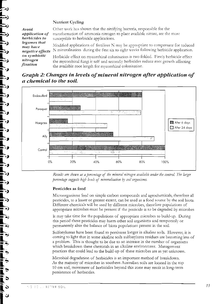#### **Nutrient Cycling**

Avoid application of herbicides to legumes that may have negative effects on symbiotic nitrogen fixation

Other work has shown that the nitrifying bacteria, responsible for the transformation of ammonia nitrogen to plant available nitrate, are the most susceptible to herbicide applications.

Modified applications of fertilizer N may be appropriate to compensate for reduced N mineralisation during the first six to eight weeks following herbicide application.

Herbicide effect on mycorrhizal colonisation is two folded. Firstly herbicide effect the mycorrhizal fungi it self and secondly herbicides reduce root growth affecting the available root length for mycorrhizal colonisation.

### Graph 2: Changes in levels of mineral nitrogen after application of a chemical to the soil.



Results are shown as a percentage of the mineral nitrogen available under the control. The larger percentage suggests high levels of mineralisation by soil organisms.

#### Pesticides as food

Microorganisms feed on simple carbon compounds and agrochemicals, therefore all pesticides, to a lesser or greater extent, can be used as a food source by the soil biota. Different chemicals will be used by different microbes, therefore populations of appropriate microbes must be present if the pesticide is to be degraded by microbes

It may take time for the populations of appropriate microbes to build-up. During this period these pesticides may harm other soil organisms and temporarily or permanently alter the balance of biota populations present in the soil.

Sulfonylureas have been found to persistent longer in alkaline soils. However, it is coming to light that in some alkaline soils sulfonylurea residues are becoming less of a problem. This is thought to be due to an increase in the number of organisms which breakdown these chemicals in an alkaline environment. Management practices that could lead to the build-up of these microbes are as yet unknown.

Microbial degradation of herbicides is an important method of breakdown. As the majority of microbes in southern Australian soils are located in the top 10 cm soil, movement of herbicides beyond this zone may result in long-term persistence of herbicides.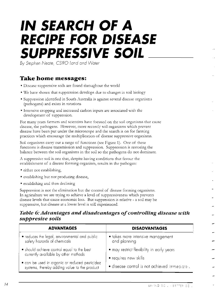# **IN SEARCH OF A RECIPE FOR DISEASE SUPPRESSIVE SOIL**

By Stephen Neate, CSIRO Land and Water

## **Take home messages:**

- · Disease suppressive soils are found throughout the world
- We have shown that suppression develops due to changes in soil biology
- · Suppression identified in South Australia is against several disease organisms (pathogens) and exists in rotations
- Intensive cropping and increased carbon inputs are associated with the development of suppression.

For many years farmers and scientists have focused on the soil organisms that cause disease, the pathogens. However, more recently soil organisms which prevent disease have been put under the microscope and the search is on for farming practices which encourage the multiplication of disease suppressive organisms.

Soil organisms carry out a range of functions (see Figure 1). One of these functions is disease transmission and suppression. Suppression is restoring the balance between the soil organisms in the soil so the pathogens do not dominate.

A suppressive soil is one that, despite having conditions that favour the establishment of a disease forming organism, results in the pathogen:

- either not establishing,
- establishing but not producing disease,
- establishing and then declining

Suppression is not the elimination but the control of disease forming organisms. In agriculture we are trying to achieve a level of suppressiveness which prevents disease levels that cause economic loss. But suppression is relative - a soil may be suppressive, but disease at a lower level is still experienced.

### Table 6: Advantages and disadvantages of controlling disease with suppresive soils

| <b>ADVANTAGES</b>                                                                              | <b>DISADVANTAGES</b>                          |  |
|------------------------------------------------------------------------------------------------|-----------------------------------------------|--|
| • reduces the legal, environmental and public                                                  | • takes more intensive management             |  |
| safety hazards of chemicals                                                                    | and planning                                  |  |
| • should achieve control equal to the best                                                     | • may restrict flexibility in early years     |  |
| currently available by other methods                                                           | • requires new skills                         |  |
| · can be used in organic or reduced pesticidez<br>systems, thereby adding value to the product | · disease control is not achieved immediately |  |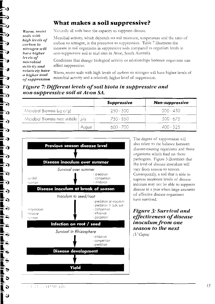## What makes a soil suppressive?

Warm, moist soils with high levels of carbon to nitrogen will have higher levels of microbial activity and relatively have a higher level of suppression

J.)

▔∂

፣ንዝ

∑∂

ΞЛ

F)

ಾ

- J

ני ≣

⊷≫

િ

≡ ?)

ED)

≡े

E 2)

E J

10

E 5)

L.

œ

 $\mathbf v$ 

ں

Naturally all soils have the capacity to suppress disease.

Microbial activity, which depends on soil moisture, temperature and the ratio of carbon to nitrogen, is the precursor to suppression. Table 7 illustrates the increase in soil organisms in suppressive soils compared to organism levels in non-suppressive soil at trial sites in Avon, South Australia.

Conditions that change biological activity or relationships between organisms can effect suppression.

Warm, moist soils with high levels of carbon to nitrogen will have higher levels of microbial activity and a relatively higher level of suppression.

### Figure 7: Different levels of soil biota in suppressive and non-suppressive soil at Avon SA.

|                                     |        | <b>Suppressive</b> | <b>Non-suppressive</b> |
|-------------------------------------|--------|--------------------|------------------------|
| Microbial Biomass ( $\mu$ g c/g)    |        | $250 - 500$        | 200 - 450              |
| Microbial Biomass near stubble July |        | 750 - 850          | $500 - 675$            |
|                                     | August | 600 - 700          | $\Delta$ 00 - 525      |



The degree of suppression will also relate to the balance between disease-causing organisms and those organisms which feed on these pathogens. Figure 3 illustrates that the level of disease inoculum will vary from season to season. Consequently, a soil that is able to supress moderate levels of disease incolum may not be able to suppress disease in a vear when large amounts of effective disease organisms have survived.

### **Figure 3: Survival and** effectiveness of disease *inoculum from one* season to the next  $(V<sup>r</sup>Gupta)$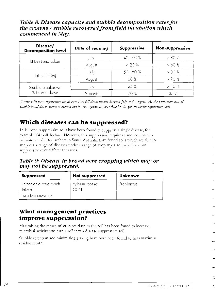Table 8: Disease capacity and stubble decomposition rates for the crowns  $/$  stubble recovered from field incubation which commenced in May.

| Disease/<br><b>Decomposition level</b> | Date of reading | <b>Suppressive</b> | Non-suppressive |
|----------------------------------------|-----------------|--------------------|-----------------|
|                                        | July            | $40 - 60%$         | $> 80 \%$       |
| Rhizoctonia solani                     | August          | $< 20\%$           | >60%            |
|                                        | July            | $50 - 60%$         | > 80%           |
| Take-all (Ggt)                         | August          | 30%                | >70%            |
| Stubble breakdown                      | July            | 25%                | >10%            |
| % broken down                          | 12 months       | 70%                | 35%             |

Where soils were suppressive the disease level fell dramatically between July and August. At the same time rate of stubble breakdown, which is carried out by soil organisms, was found to be greater under suppressive soils.

## Which diseases can be suppressed?

In Europe, suppressive soils have been found to suppress a single disease, for example Take-all decline. However, this suppression requires a monoculture to be maintained. Researchers in South Australia have found soils which are able to suppress a range of diseases under a range of crop types and which remain suppressive over different seasons.

Table 9: Disease in broad acre cropping which may or may not be suppressed.

| <b>Suppressed</b>                                        | <b>Not suppressed</b> | Unknown     |
|----------------------------------------------------------|-----------------------|-------------|
| Rhizoctonia bare patch<br>Take-all<br>Fusarium crown rot | Pythium root rot      | Pratylencus |

## What management practices improve suppression?

Maximising the return of crop residues to the soil has been found to increase microbial activity and turn a soil into a disease suppressive soil.

Stubble retention and minimising grazing have both been found to help maximise residue return.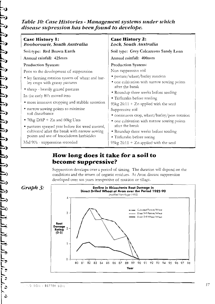### Table 10: Case Histories - Management systems under which disease supression has been found to develope.

| Case History 1:<br>Booborowie, South Australia                                          | <b>Case History 2:</b><br>Lock, South Australia |
|-----------------------------------------------------------------------------------------|-------------------------------------------------|
| Soil type: Red Brown Earth                                                              | Soil type: Grey Calcareous Sandy Loan           |
| Annual rainfall: 425mm                                                                  | Annual rainfall: 400mm                          |
| <b>Production System:</b>                                                               | Production System:                              |
| Prior to the development of suppression                                                 | Non suppressive soil                            |
| • ley farming rotation system of wheat and bar-                                         | • pasture/wheat/barley rotation                 |
| ley crops with grassy pastures                                                          | • one cultivation with narrow sowing points     |
| • sheep - heavily grazed pastures                                                       | after the break                                 |
| In the early 80's moved into                                                            | • Roundup three weeks before seeding            |
| • more intensive cropping and stubble retention                                         | • Trifluralin before seeding                    |
|                                                                                         | 95 $kg 26:11 + Zn$ applied with the seed        |
| • narrow sowing points to minimise<br>soil disturbance                                  | Suppressive soil                                |
|                                                                                         | • continuous crop, wheat/barley/peas rotation   |
| • $70\text{kg}$ DAP + Zn and 60kg Urea                                                  | • one cultivation with narrow sowing points     |
| • pastures sprayed year before for weed control,                                        | after the break                                 |
| cultivated after the break with narrow sowing<br>points and use of knockdown herbicides | • Roundup three weeks before seeding            |
|                                                                                         | • Trifluralin before seeing                     |
| Mid 90's - suppression recorded                                                         | 95 $kg 26:11 + Zn$ applied with the seed        |

## How long does it take for a soil to become suppressive?

Suppression develops over a period of timing. The duration will depend on the conditions and the return of organic residues. At Avon disease suppression developed over ten years irrespective of rotation or tillage.

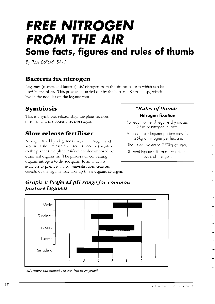# **FREE NITROGEN FROM THE AIR** Some facts, figures and rules of thumb

By Ross Ballard, SARDI.

## Bacteria fix nitrogen

Legumes (clovers and lucerne) 'fix' nitrogen from the air into a form which can be used by the plant. This process is carried out by the bacteria, Rhizobia sp., which live in the nodules on the legume root.

## **Symbiosis**

This is a symbiotic relationship, the plant receives nitrogen and the bacteria receive sugars.

## **Slow release fertiliser**

Nitrogen fixed by a legume is organic nitrogen and acts like a slow release fertiliser. It becomes available to the plant as the plant residues are decomposed by other soil organisms. The process of converting organic nitrogen to the inorganic form which is available to plants is called mineralisation. Grasses, cereals, or the legume may take up this inorganic nitrogen.

### "Rules of thumb" Nitrogen fixation

For each tonne of legume dry matter, 25kg of nitrogen is fixed.

A reasonable legume pasture may fix 125kg of nitrogen per hectare.

That is equivalent to 270kg of urea.

Different legumes fix and use different levels of nitrogen.

### Graph 4: Prefered pH range for common pasture legumes



Soil texture and rainfall will also impact on growth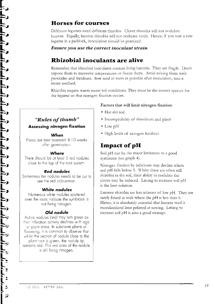## **Horses for courses**

Different legumes need different rhizobia. Clover rhizobia will not nodulate lucerne. Equally, lucerne rhizobia will not nodulate vetch. Hence, if you sow a new legume in a paddock, inoculation should be practiced.

### Ensure you use the correct inoculant strain.

# Rhizobial inoculants are alive

Remember that rhizobial inoculants contain living bacteria. They are fragile. Don't expose them to excessive temperatures or freeze them. Avoid mixing them with pesticides and fertilisers. Sow seed as soon as possible after inoculation, into a moist seedbed.

Rhizobia require warm moist soil conditions. They must be the correct species for the legume so that nitrogen fixation occurs.

## · Hot drv soil

· Incompatibility of rhizobium and plant

Factors that will limit nitrogen fixation:

- $\bullet$  Low pH
- High levels of nitrogen fertilizer.

## **Impact of pH**

Soil pH can be the major limitation to a good symbiosis (see graph 4).

Nitrogen fixation by subclover may decline where soil pH falls below 5. Whilst there are often still rhizobia in the soil, their ability to nodulate the clover may be reduced. Liming to increase soil pH is the best solution.

Lucerne rhizobia are less tolerant of low pH. They are rarely found in soils where the pH is less than 6. Hence, it is absolutely essential that lucerne seed is inoculatedand lime pelleted at sowing. Liming to increase soil pH is also a good strategy.

### "Rules of thumb" **Assessing nitrogen fixation**

#### When

Plants are best assessed 8-10 weeks after germination.

### Where

There should be at least 5 red nodules close to the top of the root system.

### **Red nodules**

Sometimes the nodules needs to be cut to see the red colouration.

### White nodules

Numerous white nodules scattered over the roots indicate the symbiosis is not fixing nitrogen.

### Old nodule

Active nodules (red) may turn green as their n-fixation activity declines with age or plant stress. In subclover plants at flowering, it is common to observe that whilst the section of nodule close to the plant root is green, the nodule tip remains red. This red area of the nodule is still fixing nitrogen.